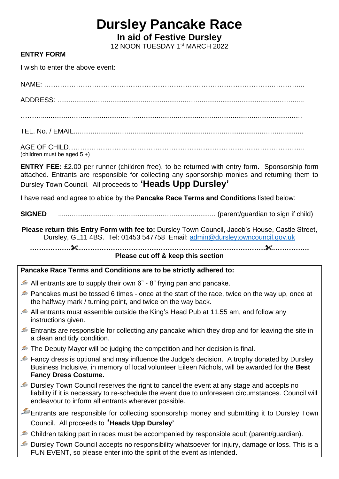# **Dursley Pancake Race**

**In aid of Festive Dursley**

12 NOON TUESDAY 1<sup>st</sup> MARCH 2022

### **ENTRY FORM**

I wish to enter the above event:

NAME: ……………………………………………………………………………………….…………... ADDRESS: .................................................................................................................................. ……….......................................................................................................................................... TEL. No. / EMAIL.........................................................................................................................

AGE OF CHILD………………………………………………………………………………………….. (children must be aged 5 +)

**ENTRY FEE:** £2.00 per runner (children free), to be returned with entry form. Sponsorship form attached. Entrants are responsible for collecting any sponsorship monies and returning them to Dursley Town Council. All proceeds to **'Heads Upp Dursley'**

I have read and agree to abide by the **Pancake Race Terms and Conditions** listed below:

**SIGNED** ................................................................................... (parent/guardian to sign if child)

**Please return this Entry Form with fee to:** Dursley Town Council, Jacob's House, Castle Street, Dursley, GL11 4BS. Tel: 01453 547758 Email: [admin@dursleytowncouncil.gov.uk](mailto:admin@dursleytowncouncil.gov.uk)

**……………………………………………………………………………………….…………….**

**Please cut off & keep this section**

#### **Pancake Race Terms and Conditions are to be strictly adhered to:**

- $\blacktriangleright$  All entrants are to supply their own 6" 8" frying pan and pancake.
- Pancakes must be tossed 6 times once at the start of the race, twice on the way up, once at the halfway mark / turning point, and twice on the way back.
- All entrants must assemble outside the King's Head Pub at 11.55 am, and follow any instructions given.
- Entrants are responsible for collecting any pancake which they drop and for leaving the site in a clean and tidy condition.
- The Deputy Mayor will be judging the competition and her decision is final.
- Fancy dress is optional and may influence the Judge's decision. A trophy donated by Dursley Business Inclusive, in memory of local volunteer Eileen Nichols, will be awarded for the **Best Fancy Dress Costume.**
- Dursley Town Council reserves the right to cancel the event at any stage and accepts no liability if it is necessary to re-schedule the event due to unforeseen circumstances. Council will endeavour to inform all entrants wherever possible.
- Entrants are responsible for collecting sponsorship money and submitting it to Dursley Town Council. All proceeds to **'Heads Upp Dursley'**
- Children taking part in races must be accompanied by responsible adult (parent/guardian).
- Dursley Town Council accepts no responsibility whatsoever for injury, damage or loss. This is a FUN EVENT, so please enter into the spirit of the event as intended.